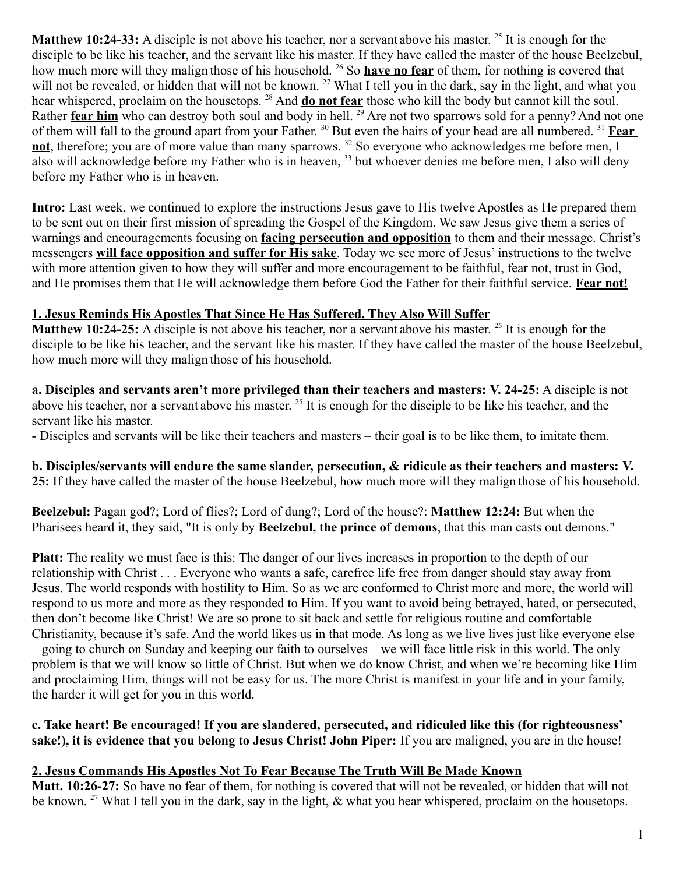**Matthew 10:24-33:** A disciple is not above his teacher, nor a servant above his master. <sup>25</sup> It is enough for the disciple to be like his teacher, and the servant like his master. If they have called the master of the house Beelzebul, how much more will they malign those of his household. <sup>26</sup> So **have no fear** of them, for nothing is covered that will not be revealed, or hidden that will not be known. <sup>27</sup> What I tell you in the dark, say in the light, and what you hear whispered, proclaim on the housetops. <sup>28</sup> And **do not fear** those who kill the body but cannot kill the soul. Rather **fear him** who can destroy both soul and body in hell. <sup>29</sup> Are not two sparrows sold for a penny? And not one of them will fall to the ground apart from your Father. <sup>30</sup> But even the hairs of your head are all numbered. <sup>31</sup> **Fear not**, therefore; you are of more value than many sparrows. <sup>32</sup> So everyone who acknowledges me before men, I also will acknowledge before my Father who is in heaven, <sup>33</sup> but whoever denies me before men, I also will deny before my Father who is in heaven.

**Intro:** Last week, we continued to explore the instructions Jesus gave to His twelve Apostles as He prepared them to be sent out on their first mission of spreading the Gospel of the Kingdom. We saw Jesus give them a series of warnings and encouragements focusing on **facing persecution and opposition** to them and their message. Christ's messengers **will face opposition and suffer for His sake**. Today we see more of Jesus' instructions to the twelve with more attention given to how they will suffer and more encouragement to be faithful, fear not, trust in God, and He promises them that He will acknowledge them before God the Father for their faithful service. **Fear not!**

#### **1. Jesus Reminds His Apostles That Since He Has Suffered, They Also Will Suffer**

**Matthew 10:24-25:** A disciple is not above his teacher, nor a servant above his master. <sup>25</sup> It is enough for the disciple to be like his teacher, and the servant like his master. If they have called the master of the house Beelzebul, how much more will they malign those of his household.

**a. Disciples and servants aren't more privileged than their teachers and masters: V. 24-25:** A disciple is not above his teacher, nor a servant above his master. <sup>25</sup> It is enough for the disciple to be like his teacher, and the servant like his master.

- Disciples and servants will be like their teachers and masters – their goal is to be like them, to imitate them.

**b. Disciples/servants will endure the same slander, persecution, & ridicule as their teachers and masters: V. 25:** If they have called the master of the house Beelzebul, how much more will they malign those of his household.

**Beelzebul:** Pagan god?; Lord of flies?; Lord of dung?; Lord of the house?: **Matthew 12:24:** But when the Pharisees heard it, they said, "It is only by **Beelzebul, the prince of demons**, that this man casts out demons."

**Platt:** The reality we must face is this: The danger of our lives increases in proportion to the depth of our relationship with Christ . . . Everyone who wants a safe, carefree life free from danger should stay away from Jesus. The world responds with hostility to Him. So as we are conformed to Christ more and more, the world will respond to us more and more as they responded to Him. If you want to avoid being betrayed, hated, or persecuted, then don't become like Christ! We are so prone to sit back and settle for religious routine and comfortable Christianity, because it's safe. And the world likes us in that mode. As long as we live lives just like everyone else – going to church on Sunday and keeping our faith to ourselves – we will face little risk in this world. The only problem is that we will know so little of Christ. But when we do know Christ, and when we're becoming like Him and proclaiming Him, things will not be easy for us. The more Christ is manifest in your life and in your family, the harder it will get for you in this world.

**c. Take heart! Be encouraged! If you are slandered, persecuted, and ridiculed like this (for righteousness' sake!), it is evidence that you belong to Jesus Christ! John Piper:** If you are maligned, you are in the house!

#### **2. Jesus Commands His Apostles Not To Fear Because The Truth Will Be Made Known**

**Matt. 10:26-27:** So have no fear of them, for nothing is covered that will not be revealed, or hidden that will not be known. <sup>27</sup> What I tell you in the dark, say in the light, & what you hear whispered, proclaim on the housetops.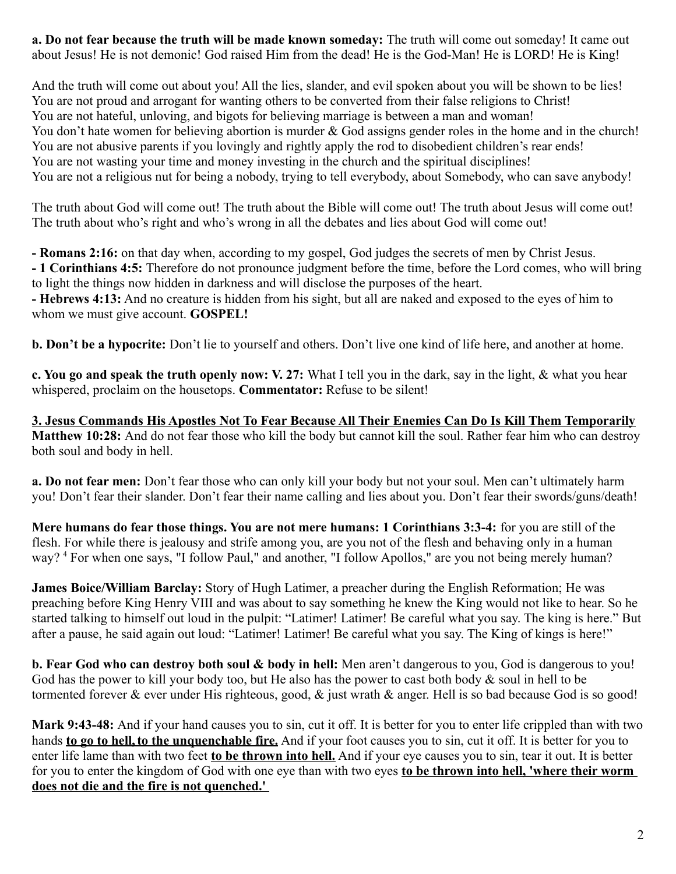**a. Do not fear because the truth will be made known someday:** The truth will come out someday! It came out about Jesus! He is not demonic! God raised Him from the dead! He is the God-Man! He is LORD! He is King!

And the truth will come out about you! All the lies, slander, and evil spoken about you will be shown to be lies! You are not proud and arrogant for wanting others to be converted from their false religions to Christ! You are not hateful, unloving, and bigots for believing marriage is between a man and woman! You don't hate women for believing abortion is murder & God assigns gender roles in the home and in the church! You are not abusive parents if you lovingly and rightly apply the rod to disobedient children's rear ends! You are not wasting your time and money investing in the church and the spiritual disciplines! You are not a religious nut for being a nobody, trying to tell everybody, about Somebody, who can save anybody!

The truth about God will come out! The truth about the Bible will come out! The truth about Jesus will come out! The truth about who's right and who's wrong in all the debates and lies about God will come out!

**- Romans 2:16:** on that day when, according to my gospel, God judges the secrets of men by Christ Jesus. **- 1 Corinthians 4:5:** Therefore do not pronounce judgment before the time, before the Lord comes, who will bring to light the things now hidden in darkness and will disclose the purposes of the heart.

**- Hebrews 4:13:** And no creature is hidden from his sight, but all are naked and exposed to the eyes of him to whom we must give account. **GOSPEL!**

**b. Don't be a hypocrite:** Don't lie to yourself and others. Don't live one kind of life here, and another at home.

**c. You go and speak the truth openly now: V. 27:** What I tell you in the dark, say in the light, & what you hear whispered, proclaim on the housetops. **Commentator:** Refuse to be silent!

**3. Jesus Commands His Apostles Not To Fear Because All Their Enemies Can Do Is Kill Them Temporarily Matthew 10:28:** And do not fear those who kill the body but cannot kill the soul. Rather fear him who can destroy both soul and body in hell.

**a. Do not fear men:** Don't fear those who can only kill your body but not your soul. Men can't ultimately harm you! Don't fear their slander. Don't fear their name calling and lies about you. Don't fear their swords/guns/death!

**Mere humans do fear those things. You are not mere humans: 1 Corinthians 3:3-4:** for you are still of the flesh. For while there is jealousy and strife among you, are you not of the flesh and behaving only in a human way?<sup>4</sup> For when one says, "I follow Paul," and another, "I follow Apollos," are you not being merely human?

**James Boice/William Barclay:** Story of Hugh Latimer, a preacher during the English Reformation; He was preaching before King Henry VIII and was about to say something he knew the King would not like to hear. So he started talking to himself out loud in the pulpit: "Latimer! Latimer! Be careful what you say. The king is here." But after a pause, he said again out loud: "Latimer! Latimer! Be careful what you say. The King of kings is here!"

**b. Fear God who can destroy both soul & body in hell:** Men aren't dangerous to you, God is dangerous to you! God has the power to kill your body too, but He also has the power to cast both body & soul in hell to be tormented forever & ever under His righteous, good, & just wrath & anger. Hell is so bad because God is so good!

**Mark 9:43-48:** And if your hand causes you to sin, cut it off. It is better for you to enter life crippled than with two hands **to go to hell, to the unquenchable fire.** And if your foot causes you to sin, cut it off. It is better for you to enter life lame than with two feet **to be thrown into hell.** And if your eye causes you to sin, tear it out. It is better for you to enter the kingdom of God with one eye than with two eyes **to be thrown into hell, 'where their worm does not die and the fire is not quenched.'**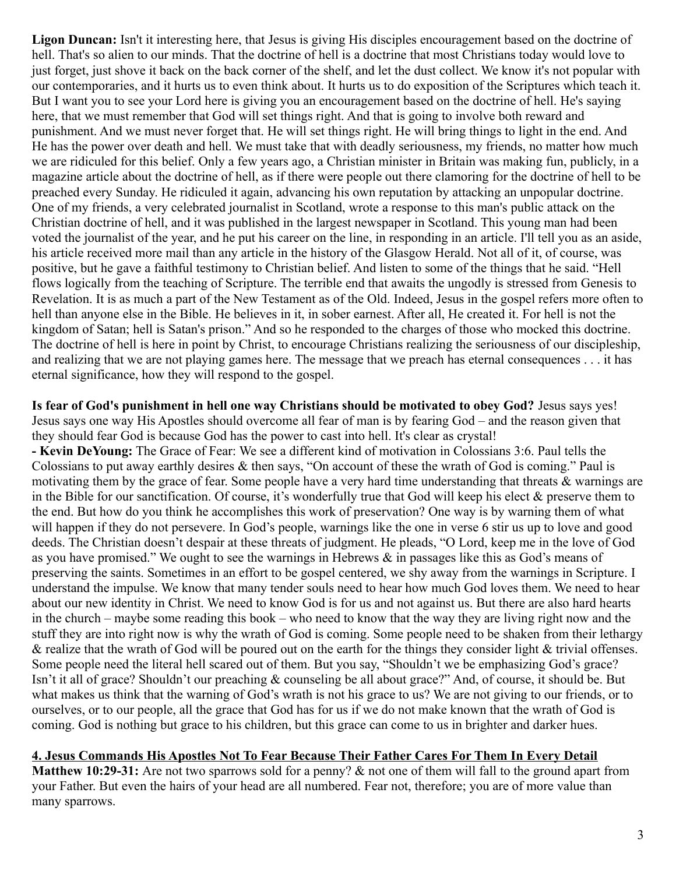**Ligon Duncan:** Isn't it interesting here, that Jesus is giving His disciples encouragement based on the doctrine of hell. That's so alien to our minds. That the doctrine of hell is a doctrine that most Christians today would love to just forget, just shove it back on the back corner of the shelf, and let the dust collect. We know it's not popular with our contemporaries, and it hurts us to even think about. It hurts us to do exposition of the Scriptures which teach it. But I want you to see your Lord here is giving you an encouragement based on the doctrine of hell. He's saying here, that we must remember that God will set things right. And that is going to involve both reward and punishment. And we must never forget that. He will set things right. He will bring things to light in the end. And He has the power over death and hell. We must take that with deadly seriousness, my friends, no matter how much we are ridiculed for this belief. Only a few years ago, a Christian minister in Britain was making fun, publicly, in a magazine article about the doctrine of hell, as if there were people out there clamoring for the doctrine of hell to be preached every Sunday. He ridiculed it again, advancing his own reputation by attacking an unpopular doctrine. One of my friends, a very celebrated journalist in Scotland, wrote a response to this man's public attack on the Christian doctrine of hell, and it was published in the largest newspaper in Scotland. This young man had been voted the journalist of the year, and he put his career on the line, in responding in an article. I'll tell you as an aside, his article received more mail than any article in the history of the Glasgow Herald. Not all of it, of course, was positive, but he gave a faithful testimony to Christian belief. And listen to some of the things that he said. "Hell flows logically from the teaching of Scripture. The terrible end that awaits the ungodly is stressed from Genesis to Revelation. It is as much a part of the New Testament as of the Old. Indeed, Jesus in the gospel refers more often to hell than anyone else in the Bible. He believes in it, in sober earnest. After all, He created it. For hell is not the kingdom of Satan; hell is Satan's prison." And so he responded to the charges of those who mocked this doctrine. The doctrine of hell is here in point by Christ, to encourage Christians realizing the seriousness of our discipleship, and realizing that we are not playing games here. The message that we preach has eternal consequences . . . it has eternal significance, how they will respond to the gospel.

**Is fear of God's punishment in hell one way Christians should be motivated to obey God?** Jesus says yes! Jesus says one way His Apostles should overcome all fear of man is by fearing God – and the reason given that they should fear God is because God has the power to cast into hell. It's clear as crystal! **- Kevin DeYoung:** The Grace of Fear: We see a different kind of motivation in Colossians 3:6. Paul tells the Colossians to put away earthly desires & then says, "On account of these the wrath of God is coming." Paul is motivating them by the grace of fear. Some people have a very hard time understanding that threats & warnings are in the Bible for our sanctification. Of course, it's wonderfully true that God will keep his elect & preserve them to the end. But how do you think he accomplishes this work of preservation? One way is by warning them of what will happen if they do not persevere. In God's people, warnings like the one in verse 6 stir us up to love and good deeds. The Christian doesn't despair at these threats of judgment. He pleads, "O Lord, keep me in the love of God as you have promised." We ought to see the warnings in Hebrews & in passages like this as God's means of preserving the saints. Sometimes in an effort to be gospel centered, we shy away from the warnings in Scripture. I understand the impulse. We know that many tender souls need to hear how much God loves them. We need to hear about our new identity in Christ. We need to know God is for us and not against us. But there are also hard hearts in the church – maybe some reading this book – who need to know that the way they are living right now and the stuff they are into right now is why the wrath of God is coming. Some people need to be shaken from their lethargy & realize that the wrath of God will be poured out on the earth for the things they consider light & trivial offenses. Some people need the literal hell scared out of them. But you say, "Shouldn't we be emphasizing God's grace? Isn't it all of grace? Shouldn't our preaching & counseling be all about grace?" And, of course, it should be. But what makes us think that the warning of God's wrath is not his grace to us? We are not giving to our friends, or to ourselves, or to our people, all the grace that God has for us if we do not make known that the wrath of God is coming. God is nothing but grace to his children, but this grace can come to us in brighter and darker hues.

#### **4. Jesus Commands His Apostles Not To Fear Because Their Father Cares For Them In Every Detail**

**Matthew 10:29-31:** Are not two sparrows sold for a penny? & not one of them will fall to the ground apart from your Father. But even the hairs of your head are all numbered. Fear not, therefore; you are of more value than many sparrows.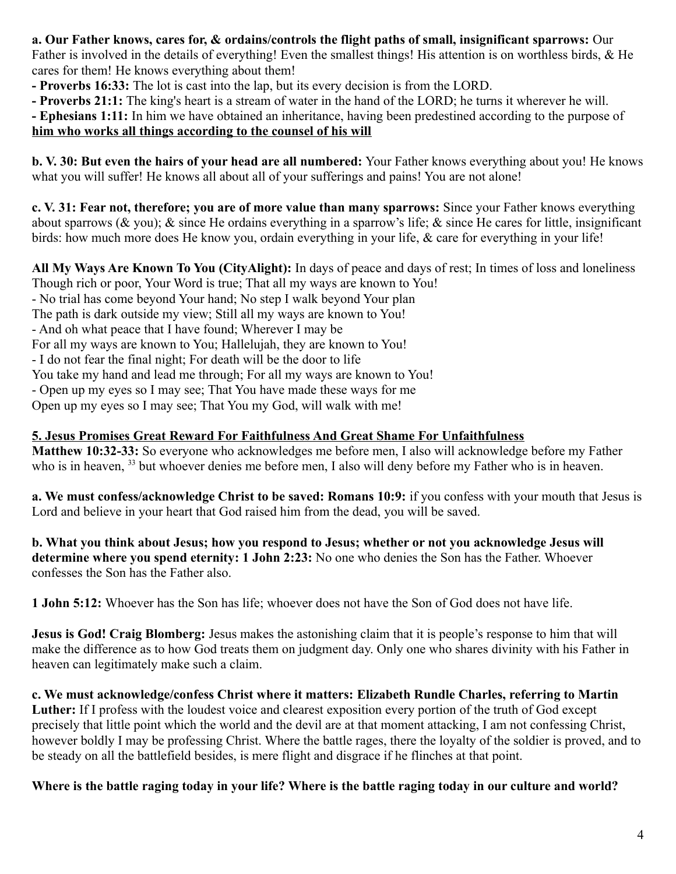## **a. Our Father knows, cares for, & ordains/controls the flight paths of small, insignificant sparrows:** Our

Father is involved in the details of everything! Even the smallest things! His attention is on worthless birds, & He cares for them! He knows everything about them!

- **Proverbs 16:33:** The lot is cast into the lap, but its every decision is from the LORD.
- **Proverbs 21:1:** The king's heart is a stream of water in the hand of the LORD; he turns it wherever he will.

**- Ephesians 1:11:** In him we have obtained an inheritance, having been predestined according to the purpose of

# **him who works all things according to the counsel of his will**

**b. V. 30: But even the hairs of your head are all numbered:** Your Father knows everything about you! He knows what you will suffer! He knows all about all of your sufferings and pains! You are not alone!

**c. V. 31: Fear not, therefore; you are of more value than many sparrows:** Since your Father knows everything about sparrows (& you); & since He ordains everything in a sparrow's life; & since He cares for little, insignificant birds: how much more does He know you, ordain everything in your life, & care for everything in your life!

**All My Ways Are Known To You (CityAlight):** In days of peace and days of rest; In times of loss and loneliness Though rich or poor, Your Word is true; That all my ways are known to You!

- No trial has come beyond Your hand; No step I walk beyond Your plan

The path is dark outside my view; Still all my ways are known to You!

- And oh what peace that I have found; Wherever I may be

For all my ways are known to You; Hallelujah, they are known to You!

- I do not fear the final night; For death will be the door to life

You take my hand and lead me through; For all my ways are known to You!

- Open up my eyes so I may see; That You have made these ways for me

Open up my eyes so I may see; That You my God, will walk with me!

## **5. Jesus Promises Great Reward For Faithfulness And Great Shame For Unfaithfulness**

**Matthew 10:32-33:** So everyone who acknowledges me before men, I also will acknowledge before my Father who is in heaven, <sup>33</sup> but whoever denies me before men, I also will deny before my Father who is in heaven.

**a. We must confess/acknowledge Christ to be saved: Romans 10:9:** if you confess with your mouth that Jesus is Lord and believe in your heart that God raised him from the dead, you will be saved.

**b. What you think about Jesus; how you respond to Jesus; whether or not you acknowledge Jesus will determine where you spend eternity: 1 John 2:23:** No one who denies the Son has the Father. Whoever confesses the Son has the Father also.

**1 John 5:12:** Whoever has the Son has life; whoever does not have the Son of God does not have life.

**Jesus is God! Craig Blomberg:** Jesus makes the astonishing claim that it is people's response to him that will make the difference as to how God treats them on judgment day. Only one who shares divinity with his Father in heaven can legitimately make such a claim.

**c. We must acknowledge/confess Christ where it matters: Elizabeth Rundle Charles, referring to Martin**  Luther: If I profess with the loudest voice and clearest exposition every portion of the truth of God except precisely that little point which the world and the devil are at that moment attacking, I am not confessing Christ, however boldly I may be professing Christ. Where the battle rages, there the loyalty of the soldier is proved, and to be steady on all the battlefield besides, is mere flight and disgrace if he flinches at that point.

## **Where is the battle raging today in your life? Where is the battle raging today in our culture and world?**